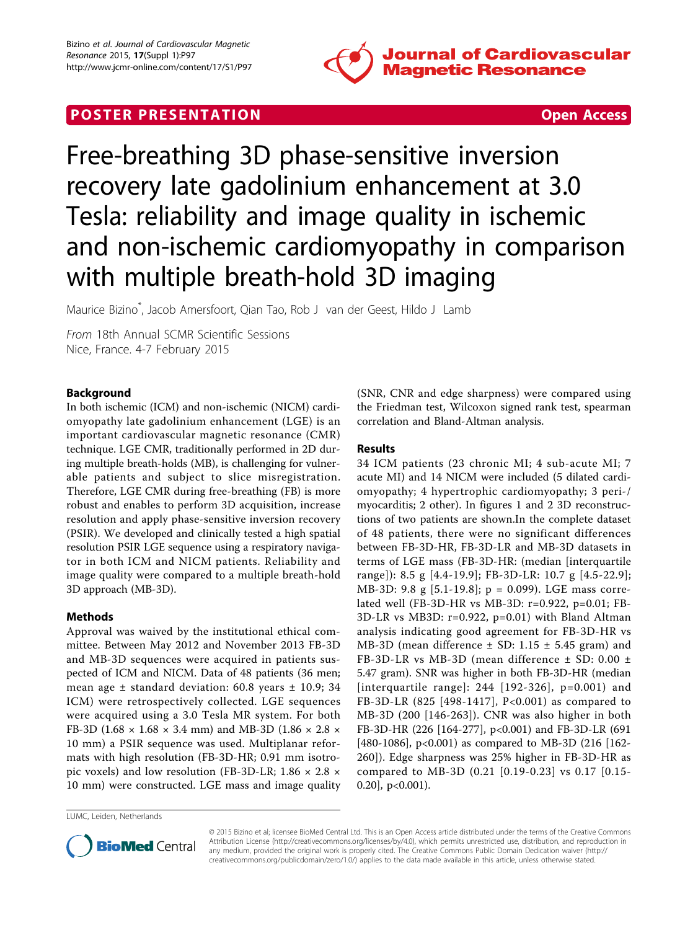

## **POSTER PRESENTATION CONSUMING THE SECOND CONSUMING THE SECOND CONSUMING THE SECOND CONSUMING THE SECOND CONSUMING THE SECOND CONSUMING THE SECOND CONSUMING THE SECOND CONSUMING THE SECOND CONSUMING THE SECOND CONSUMING**



# Free-breathing 3D phase-sensitive inversion recovery late gadolinium enhancement at 3.0 Tesla: reliability and image quality in ischemic and non-ischemic cardiomyopathy in comparison with multiple breath-hold 3D imaging

Maurice Bizino\* , Jacob Amersfoort, Qian Tao, Rob J van der Geest, Hildo J Lamb

From 18th Annual SCMR Scientific Sessions Nice, France. 4-7 February 2015

#### Background

In both ischemic (ICM) and non-ischemic (NICM) cardiomyopathy late gadolinium enhancement (LGE) is an important cardiovascular magnetic resonance (CMR) technique. LGE CMR, traditionally performed in 2D during multiple breath-holds (MB), is challenging for vulnerable patients and subject to slice misregistration. Therefore, LGE CMR during free-breathing (FB) is more robust and enables to perform 3D acquisition, increase resolution and apply phase-sensitive inversion recovery (PSIR). We developed and clinically tested a high spatial resolution PSIR LGE sequence using a respiratory navigator in both ICM and NICM patients. Reliability and image quality were compared to a multiple breath-hold 3D approach (MB-3D).

#### Methods

Approval was waived by the institutional ethical committee. Between May 2012 and November 2013 FB-3D and MB-3D sequences were acquired in patients suspected of ICM and NICM. Data of 48 patients (36 men; mean age  $\pm$  standard deviation: 60.8 years  $\pm$  10.9; 34 ICM) were retrospectively collected. LGE sequences were acquired using a 3.0 Tesla MR system. For both FB-3D (1.68  $\times$  1.68  $\times$  3.4 mm) and MB-3D (1.86  $\times$  2.8  $\times$ 10 mm) a PSIR sequence was used. Multiplanar reformats with high resolution (FB-3D-HR; 0.91 mm isotropic voxels) and low resolution (FB-3D-LR;  $1.86 \times 2.8 \times$ 10 mm) were constructed. LGE mass and image quality

(SNR, CNR and edge sharpness) were compared using the Friedman test, Wilcoxon signed rank test, spearman correlation and Bland-Altman analysis.

#### Results

34 ICM patients (23 chronic MI; 4 sub-acute MI; 7 acute MI) and 14 NICM were included (5 dilated cardiomyopathy; 4 hypertrophic cardiomyopathy; 3 peri-/ myocarditis; 2 other). In figures [1](#page-1-0) and [2](#page-1-0) 3D reconstructions of two patients are shown.In the complete dataset of 48 patients, there were no significant differences between FB-3D-HR, FB-3D-LR and MB-3D datasets in terms of LGE mass (FB-3D-HR: (median [interquartile range]): 8.5 g [4.4-19.9]; FB-3D-LR: 10.7 g [4.5-22.9]; MB-3D: 9.8 g [5.1-19.8]; p = 0.099). LGE mass correlated well (FB-3D-HR vs MB-3D: r=0.922, p=0.01; FB-3D-LR vs MB3D: r=0.922, p=0.01) with Bland Altman analysis indicating good agreement for FB-3D-HR vs MB-3D (mean difference  $\pm$  SD: 1.15  $\pm$  5.45 gram) and FB-3D-LR vs MB-3D (mean difference ± SD: 0.00 ± 5.47 gram). SNR was higher in both FB-3D-HR (median [interquartile range]: 244 [192-326], p=0.001) and FB-3D-LR (825 [498-1417], P<0.001) as compared to MB-3D (200 [146-263]). CNR was also higher in both FB-3D-HR (226 [164-277], p<0.001) and FB-3D-LR (691 [480-1086], p<0.001) as compared to MB-3D (216 [162- 260]). Edge sharpness was 25% higher in FB-3D-HR as compared to MB-3D (0.21 [0.19-0.23] vs 0.17 [0.15- 0.20], p<0.001).

LUMC, Leiden, Netherlands



© 2015 Bizino et al; licensee BioMed Central Ltd. This is an Open Access article distributed under the terms of the Creative Commons Attribution License [\(http://creativecommons.org/licenses/by/4.0](http://creativecommons.org/licenses/by/4.0)), which permits unrestricted use, distribution, and reproduction in any medium, provided the original work is properly cited. The Creative Commons Public Domain Dedication waiver [\(http://](http://creativecommons.org/publicdomain/zero/1.0/) [creativecommons.org/publicdomain/zero/1.0/](http://creativecommons.org/publicdomain/zero/1.0/)) applies to the data made available in this article, unless otherwise stated.